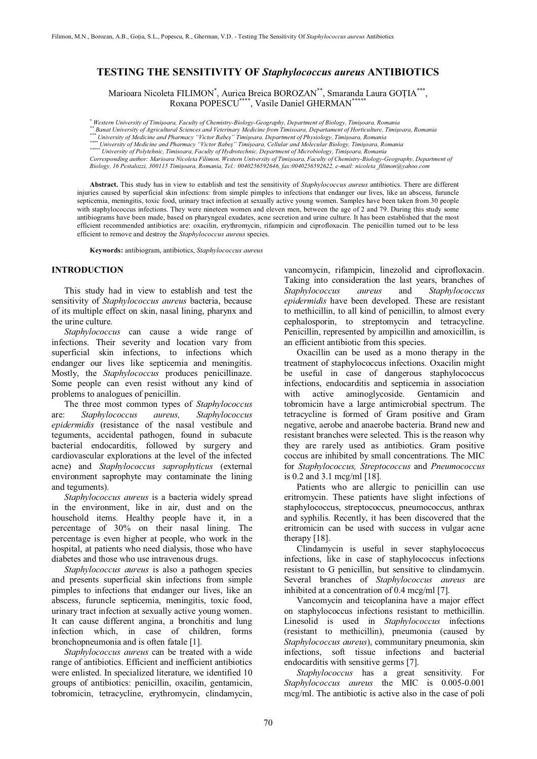# **TESTING THE SENSITIVITY OF** *Staphylococcus aureus* **ANTIBIOTICS**

Marioara Nicoleta FILIMON<sup>\*</sup>, Aurica Breica BOROZAN<sup>\*\*</sup>, Smaranda Laura GOȚIA<sup>\*\*\*</sup>, Roxana POPESCU\*\*\*\*, Vasile Daniel GHERMAN\*\*\*\*\*

Muniversity of Timișoara, Faculty of Chemistry-Biology-Geography, Department of Biology, Timișoara, Romania<br>\*\* Banat University of Agricultural Sciences and Veterinary Medicine from Timisoara, Departament of Horticulture,

*Corresponding author: Marioara Nicoleta Filimon, Western University of Timiúoara, Faculty of Chemistry-Biology-Geography, Department of Biology, 16 Pestalozzi, 300115 Timiúoara, Romania, Tel.: 0040256592646, fax:0040256592622, e-mail: nicoleta\_filimon@yahoo.com*

**Abstract.** This study has in view to establish and test the sensitivity of *Staphylococcus aureus* antibiotics. There are different injuries caused by superficial skin infections: from simple pimples to infections that endanger our lives, like an abscess, furuncle septicemia, meningitis, toxic food, urinary tract infection at sexually active young women. Samples have been taken from 30 people with staphylococcus infections. They were nineteen women and eleven men, between the age of 2 and 79. During this study some antibiograms have been made, based on pharyngeal exudates, acne secretion and urine culture. It has been established that the most efficient recommended antibiotics are: oxacilin, erythromycin, rifampicin and ciprofloxacin. The penicillin turned out to be less efficient to remove and destroy the *Staphylococcus aureus* species.

**Keywords:** antibiogram, antibiotics, *Staphylococcus aureus*

### **INTRODUCTION**

This study had in view to establish and test the sensitivity of *Staphylococcus aureus* bacteria, because of its multiple effect on skin, nasal lining, pharynx and the urine culture.

*Staphylococcus* can cause a wide range of infections. Their severity and location vary from superficial skin infections, to infections which endanger our lives like septicemia and meningitis. Mostly, the *Staphylococcus* produces penicillinaze. Some people can even resist without any kind of problems to analogues of penicillin.

The three most common types of *Staphylococcus* are: *Staphylococcus aureus, Staphylococcus epidermidis* (resistance of the nasal vestibule and teguments, accidental pathogen, found in subacute bacterial endocarditis, followed by surgery and cardiovascular explorations at the level of the infected acne) and *Staphylococcus saprophyticus* (external environment saprophyte may contaminate the lining and teguments).

*Staphylococcus aureus* is a bacteria widely spread in the environment, like in air, dust and on the household items. Healthy people have it, in a percentage of 30% on their nasal lining. The percentage is even higher at people, who work in the hospital, at patients who need dialysis, those who have diabetes and those who use intravenous drugs.

*Staphylococcus aureus* is also a pathogen species and presents superficial skin infections from simple pimples to infections that endanger our lives, like an abscess, furuncle septicemia, meningitis, toxic food, urinary tract infection at sexually active young women. It can cause different angina, a bronchitis and lung infection which, in case of children, forms bronchopneumonia and is often fatale [1].

*Staphylococcus aureus* can be treated with a wide range of antibiotics. Efficient and inefficient antibiotics were enlisted. In specialized literature, we identified 10 groups of antibiotics: penicillin, oxacilin, gentamicin, tobromicin, tetracycline, erythromycin, clindamycin,

vancomycin, rifampicin, linezolid and ciprofloxacin. Taking into consideration the last years, branches of *Staphylococcus aureus* and *Staphylococcus epidermidis* have been developed*.* These are resistant to methicillin, to all kind of penicillin, to almost every cephalosporin, to streptomycin and tetracycline. Penicillin, represented by ampicillin and amoxicillin, is an efficient antibiotic from this species.

Oxacillin can be used as a mono therapy in the treatment of staphylococcus infections. Oxacilin might be useful in case of dangerous staphylococcus infections, endocarditis and septicemia in association with active aminoglycoside. Gentamicin and tobromicin have a large antimicrobial spectrum. The tetracycline is formed of Gram positive and Gram negative, aerobe and anaerobe bacteria. Brand new and resistant branches were selected. This is the reason why they are rarely used as antibiotics. Gram positive coccus are inhibited by small concentrations. The MIC for *Staphylococcus, Streptococcus* and *Pneumococcus* is 0.2 and 3.1 mcg/ml [18].

Patients who are allergic to penicillin can use eritromycin. These patients have slight infections of staphylococcus, streptococcus, pneumococcus, anthrax and syphilis. Recently, it has been discovered that the eritromicin can be used with success in vulgar acne therapy [18].

Clindamycin is useful in sever staphylococcus infections, like in case of staphylococcus infections resistant to G penicillin, but sensitive to clindamycin. Several branches of *Staphylococcus aureus* are inhibited at a concentration of 0.4 mcg/ml [7].

Vancomycin and teicoplanina have a major effect on staphylococcus infections resistant to methicillin. Linesolid is used in *Staphylococcus* infections (resistant to methicillin), pneumonia (caused by *Staphylococcus aureus*), communitary pneumonia, skin infections, soft tissue infections and bacterial endocarditis with sensitive germs [7].

*Staphylococcus* has a great sensitivity. For *Staphylococcus aureus* the MIC is 0.005-0.001 mcg/ml. The antibiotic is active also in the case of poli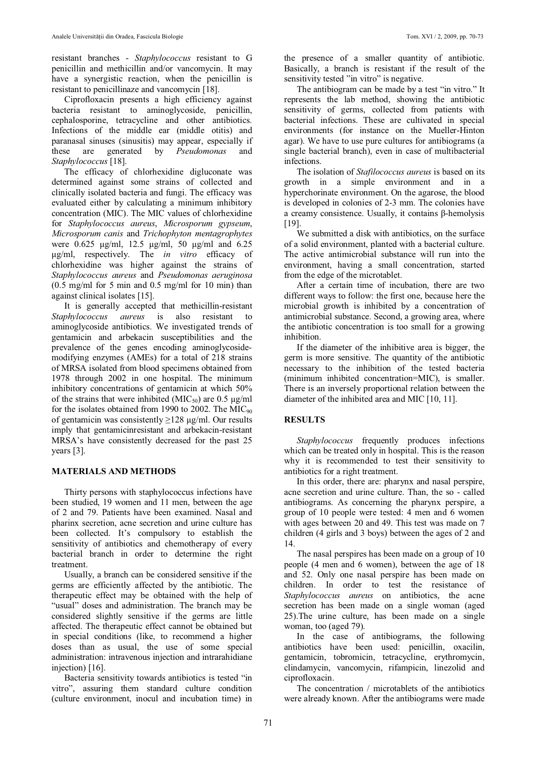resistant branches - *Staphylococcus* resistant to G penicillin and methicillin and/or vancomycin. It may have a synergistic reaction, when the penicillin is resistant to penicillinaze and vancomycin [18].

Ciprofloxacin presents a high efficiency against bacteria resistant to aminoglycoside, penicillin, cephalosporine, tetracycline and other antibiotics. Infections of the middle ear (middle otitis) and paranasal sinuses (sinusitis) may appear, especially if these are generated by *Pseudomonas* and *Staphylococcus* [18].

The efficacy of chlorhexidine digluconate was determined against some strains of collected and clinically isolated bacteria and fungi. The efficacy was evaluated either by calculating a minimum inhibitory concentration (MIC). The MIC values of chlorhexidine for *Staphylococcus aureus*, *Microsporum gypseum*, *Microsporum canis* and *Trichophyton mentagrophytes* were  $0.625 \mu g/ml$ , 12.5  $\mu g/ml$ , 50  $\mu g/ml$  and 6.25 ȝg/ml, respectively. The *in vitro* efficacy of chlorhexidine was higher against the strains of *Staphylococcus aureus* and *Pseudomonas aeruginosa*  $(0.5 \text{ mg/ml}$  for 5 min and 0.5 mg/ml for 10 min) than against clinical isolates [15].

It is generally accepted that methicillin-resistant *Staphylococcus aureus* is also resistant to aminoglycoside antibiotics. We investigated trends of gentamicin and arbekacin susceptibilities and the prevalence of the genes encoding aminoglycosidemodifying enzymes (AMEs) for a total of 218 strains of MRSA isolated from blood specimens obtained from 1978 through 2002 in one hospital. The minimum inhibitory concentrations of gentamicin at which 50% of the strains that were inhibited ( $MIC<sub>50</sub>$ ) are 0.5  $\mu$ g/ml for the isolates obtained from 1990 to 2002. The  $MIC<sub>90</sub>$ of gentamicin was consistently  $\geq$ 128 μg/ml. Our results imply that gentamicinresistant and arbekacin-resistant MRSA's have consistently decreased for the past 25 years [3].

## **MATERIALS AND METHODS**

Thirty persons with staphylococcus infections have been studied, 19 women and 11 men, between the age of 2 and 79. Patients have been examined. Nasal and pharinx secretion, acne secretion and urine culture has been collected. It's compulsory to establish the sensitivity of antibiotics and chemotherapy of every bacterial branch in order to determine the right treatment.

Usually, a branch can be considered sensitive if the germs are efficiently affected by the antibiotic. The therapeutic effect may be obtained with the help of "usual" doses and administration. The branch may be considered slightly sensitive if the germs are little affected. The therapeutic effect cannot be obtained but in special conditions (like, to recommend a higher doses than as usual, the use of some special administration: intravenous injection and intrarahidiane injection) [16].

Bacteria sensitivity towards antibiotics is tested "in vitro", assuring them standard culture condition (culture environment, inocul and incubation time) in

the presence of a smaller quantity of antibiotic. Basically, a branch is resistant if the result of the sensitivity tested "in vitro" is negative.

The antibiogram can be made by a test "in vitro." It represents the lab method, showing the antibiotic sensitivity of germs, collected from patients with bacterial infections. These are cultivated in special environments (for instance on the Mueller-Hinton agar). We have to use pure cultures for antibiograms (a single bacterial branch), even in case of multibacterial infections.

The isolation of *Stafilococcus aureus* is based on its growth in a simple environment and in a hyperchorinate environment. On the agarose, the blood is developed in colonies of 2-3 mm. The colonies have a creamy consistence. Usually, it contains  $\beta$ -hemolysis [19].

We submitted a disk with antibiotics, on the surface of a solid environment, planted with a bacterial culture. The active antimicrobial substance will run into the environment, having a small concentration, started from the edge of the microtablet.

After a certain time of incubation, there are two different ways to follow: the first one, because here the microbial growth is inhibited by a concentration of antimicrobial substance. Second, a growing area, where the antibiotic concentration is too small for a growing inhibition.

If the diameter of the inhibitive area is bigger, the germ is more sensitive. The quantity of the antibiotic necessary to the inhibition of the tested bacteria (minimum inhibited concentration=MIC), is smaller. There is an inversely proportional relation between the diameter of the inhibited area and MIC [10, 11].

#### **RESULTS**

*Staphylococcus* frequently produces infections which can be treated only in hospital. This is the reason why it is recommended to test their sensitivity to antibiotics for a right treatment.

In this order, there are: pharynx and nasal perspire, acne secretion and urine culture. Than, the so - called antibiograms. As concerning the pharynx perspire, a group of 10 people were tested: 4 men and 6 women with ages between 20 and 49. This test was made on 7 children (4 girls and 3 boys) between the ages of 2 and 14.

The nasal perspires has been made on a group of 10 people (4 men and 6 women), between the age of 18 and 52. Only one nasal perspire has been made on children. In order to test the resistance of *Staphylococcus aureus* on antibiotics, the acne secretion has been made on a single woman (aged 25).The urine culture, has been made on a single woman, too (aged 79).

In the case of antibiograms, the following antibiotics have been used: penicillin, oxacilin, gentamicin, tobromicin, tetracycline, erythromycin, clindamycin, vancomycin, rifampicin, linezolid and ciprofloxacin.

The concentration / microtablets of the antibiotics were already known. After the antibiograms were made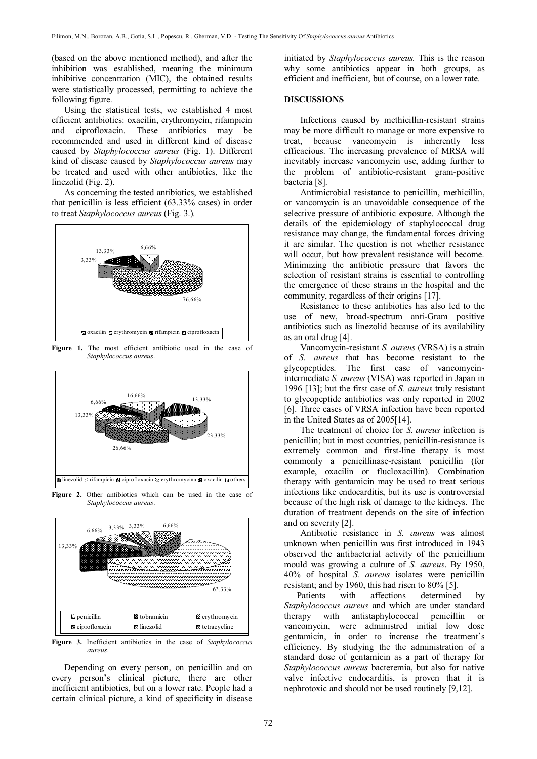(based on the above mentioned method), and after the inhibition was established, meaning the minimum inhibitive concentration (MIC), the obtained results were statistically processed, permitting to achieve the following figure.

Using the statistical tests, we established 4 most efficient antibiotics: oxacilin, erythromycin, rifampicin and ciprofloxacin. These antibiotics may be recommended and used in different kind of disease caused by *Staphylococcus aureus* (Fig. 1). Different kind of disease caused by *Staphylococcus aureus* may be treated and used with other antibiotics, like the linezolid (Fig. 2).

As concerning the tested antibiotics, we established that penicillin is less efficient (63.33% cases) in order to treat *Staphylococcus aureus* (Fig. 3.)*.*



Figure 1. The most efficient antibiotic used in the case of *Staphylococcus aureus*.



**Figure 2.** Other antibiotics which can be used in the case of *Staphylococcus aureus*.



**Figure 3.** Inefficient antibiotics in the case of *Staphylococcus aureus*.

Depending on every person, on penicillin and on every person's clinical picture, there are other inefficient antibiotics, but on a lower rate. People had a certain clinical picture, a kind of specificity in disease

initiated by *Staphylococcus aureus.* This is the reason why some antibiotics appear in both groups, as efficient and inefficient, but of course, on a lower rate.

#### **DISCUSSIONS**

Infections caused by methicillin-resistant strains may be more difficult to manage or more expensive to treat, because vancomycin is inherently less efficacious. The increasing prevalence of MRSA will inevitably increase vancomycin use, adding further to the problem of antibiotic-resistant gram-positive bacteria [8].

Antimicrobial resistance to penicillin, methicillin, or vancomycin is an unavoidable consequence of the selective pressure of antibiotic exposure. Although the details of the epidemiology of staphylococcal drug resistance may change, the fundamental forces driving it are similar. The question is not whether resistance will occur, but how prevalent resistance will become. Minimizing the antibiotic pressure that favors the selection of resistant strains is essential to controlling the emergence of these strains in the hospital and the community, regardless of their origins [17].

Resistance to these antibiotics has also led to the use of new, broad-spectrum anti-Gram positive antibiotics such as linezolid because of its availability as an oral drug [4].

Vancomycin-resistant *S. aureus* (VRSA) is a strain of *S. aureus* that has become resistant to the glycopeptides. The first case of vancomycinintermediate *S. aureus* (VISA) was reported in Japan in 1996 [13]; but the first case of *S. aureus* truly resistant to glycopeptide antibiotics was only reported in 2002 [6]. Three cases of VRSA infection have been reported in the United States as of 2005[14].

The treatment of choice for *S. aureus* infection is penicillin; but in most countries, penicillin-resistance is extremely common and first-line therapy is most commonly a penicillinase-resistant penicillin (for example, oxacilin or flucloxacillin). Combination therapy with gentamicin may be used to treat serious infections like endocarditis, but its use is controversial because of the high risk of damage to the kidneys. The duration of treatment depends on the site of infection and on severity [2].

Antibiotic resistance in *S. aureus* was almost unknown when penicillin was first introduced in 1943 observed the antibacterial activity of the penicillium mould was growing a culture of *S. aureus*. By 1950, 40% of hospital *S. aureus* isolates were penicillin resistant; and by 1960, this had risen to 80% [5].

Patients with affections determined by *Staphylococcus aureus* and which are under standard therapy with antistaphylococcal penicillin or vancomycin, were administred initial low dose gentamicin, in order to increase the treatment`s efficiency. By studying the the administration of a standard dose of gentamicin as a part of therapy for *Staphylococcus aureus* bacteremia, but also for native valve infective endocarditis, is proven that it is nephrotoxic and should not be used routinely [9,12].